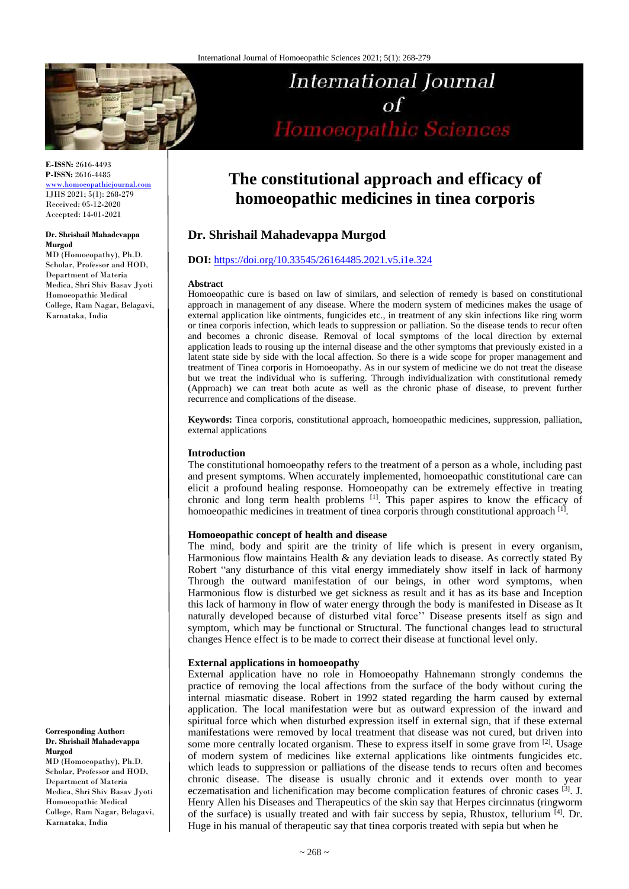

**E-ISSN:** 2616-4493 **P-ISSN:** 2616-4485

[www.homoeopathicjournal.com](file://Server/test/homoeopathicjournal/issue/vol%204/issue%201/www.homoeopathicjournal.com) IJHS 2021; 5(1): 268-279 Received: 05-12-2020 Accepted: 14-01-2021

#### **Dr. Shrishail Mahadevappa Murgod**

MD (Homoeopathy), Ph.D. Scholar, Professor and HOD, Department of Materia Medica, Shri Shiv Basav Jyoti Homoeopathic Medical College, Ram Nagar, Belagavi, Karnataka, India

**Corresponding Author: Dr. Shrishail Mahadevappa Murgod**

MD (Homoeopathy), Ph.D. Scholar, Professor and HOD, Department of Materia Medica, Shri Shiv Basav Jyoti Homoeopathic Medical College, Ram Nagar, Belagavi, Karnataka, India

# **The constitutional approach and efficacy of homoeopathic medicines in tinea corporis**

**International Journal** 

Homoeopathic Sciences

 $\sigma$ f

## **Dr. Shrishail Mahadevappa Murgod**

## **DOI:** <https://doi.org/10.33545/26164485.2021.v5.i1e.324>

#### **Abstract**

Homoeopathic cure is based on law of similars, and selection of remedy is based on constitutional approach in management of any disease. Where the modern system of medicines makes the usage of external application like ointments, fungicides etc., in treatment of any skin infections like ring worm or tinea corporis infection, which leads to suppression or palliation. So the disease tends to recur often and becomes a chronic disease. Removal of local symptoms of the local direction by external application leads to rousing up the internal disease and the other symptoms that previously existed in a latent state side by side with the local affection. So there is a wide scope for proper management and treatment of Tinea corporis in Homoeopathy. As in our system of medicine we do not treat the disease but we treat the individual who is suffering. Through individualization with constitutional remedy (Approach) we can treat both acute as well as the chronic phase of disease, to prevent further recurrence and complications of the disease.

**Keywords:** Tinea corporis, constitutional approach, homoeopathic medicines, suppression, palliation, external applications

## **Introduction**

The constitutional homoeopathy refers to the treatment of a person as a whole, including past and present symptoms. When accurately implemented, homoeopathic constitutional care can elicit a profound healing response. Homoeopathy can be extremely effective in treating chronic and long term health problems <sup>[1]</sup>. This paper aspires to know the efficacy of homoeopathic medicines in treatment of tinea corporis through constitutional approach [1].

## **Homoeopathic concept of health and disease**

The mind, body and spirit are the trinity of life which is present in every organism, Harmonious flow maintains Health & any deviation leads to disease. As correctly stated By Robert "any disturbance of this vital energy immediately show itself in lack of harmony Through the outward manifestation of our beings, in other word symptoms, when Harmonious flow is disturbed we get sickness as result and it has as its base and Inception this lack of harmony in flow of water energy through the body is manifested in Disease as It naturally developed because of disturbed vital force'' Disease presents itself as sign and symptom, which may be functional or Structural. The functional changes lead to structural changes Hence effect is to be made to correct their disease at functional level only.

## **External applications in homoeopathy**

External application have no role in Homoeopathy Hahnemann strongly condemns the practice of removing the local affections from the surface of the body without curing the internal miasmatic disease. Robert in 1992 stated regarding the harm caused by external application. The local manifestation were but as outward expression of the inward and spiritual force which when disturbed expression itself in external sign, that if these external manifestations were removed by local treatment that disease was not cured, but driven into some more centrally located organism. These to express itself in some grave from [2]. Usage of modern system of medicines like external applications like ointments fungicides etc. which leads to suppression or palliations of the disease tends to recurs often and becomes chronic disease. The disease is usually chronic and it extends over month to year eczematisation and lichenification may become complication features of chronic cases <sup>[3]</sup>. J. Henry Allen his Diseases and Therapeutics of the skin say that Herpes circinnatus (ringworm of the surface) is usually treated and with fair success by sepia, Rhustox, tellurium [4]. Dr. Huge in his manual of therapeutic say that tinea corporis treated with sepia but when he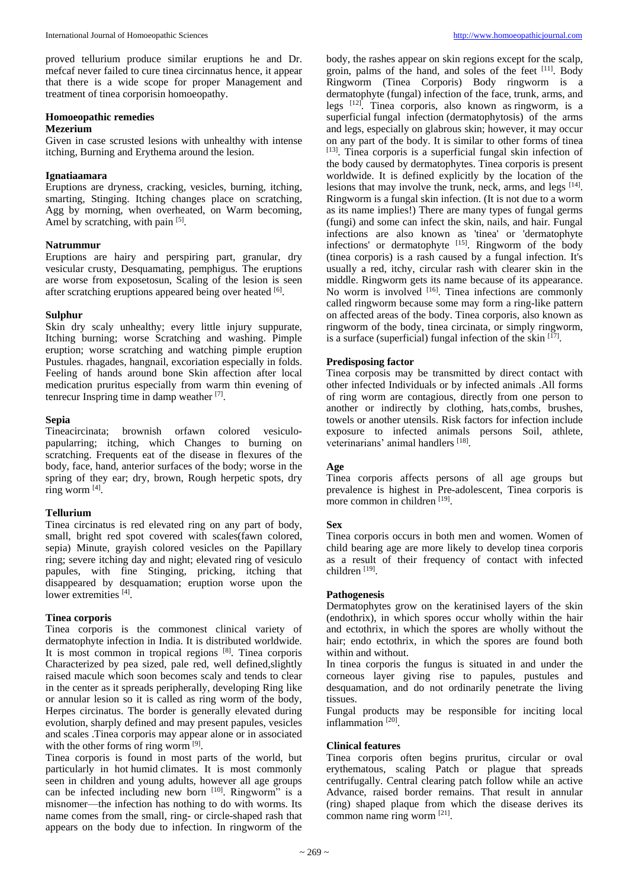proved tellurium produce similar eruptions he and Dr. mefcaf never failed to cure tinea circinnatus hence, it appear that there is a wide scope for proper Management and treatment of tinea corporisin homoeopathy.

# **Homoeopathic remedies**

## **Mezerium**

Given in case scrusted lesions with unhealthy with intense itching, Burning and Erythema around the lesion.

#### **Ignatiaamara**

Eruptions are dryness, cracking, vesicles, burning, itching, smarting, Stinging. Itching changes place on scratching, Agg by morning, when overheated, on Warm becoming, Amel by scratching, with pain [5].

## **Natrummur**

Eruptions are hairy and perspiring part, granular, dry vesicular crusty, Desquamating, pemphigus. The eruptions are worse from exposetosun, Scaling of the lesion is seen after scratching eruptions appeared being over heated [6].

## **Sulphur**

Skin dry scaly unhealthy; every little injury suppurate, Itching burning; worse Scratching and washing. Pimple eruption; worse scratching and watching pimple eruption Pustules. rhagades, hangnail, excoriation especially in folds. Feeling of hands around bone Skin affection after local medication pruritus especially from warm thin evening of tenrecur Inspring time in damp weather [7] .

## **Sepia**

Tineacircinata; brownish orfawn colored vesiculopapularring; itching, which Changes to burning on scratching. Frequents eat of the disease in flexures of the body, face, hand, anterior surfaces of the body; worse in the spring of they ear; dry, brown, Rough herpetic spots, dry ring worm [4] .

## **Tellurium**

Tinea circinatus is red elevated ring on any part of body, small, bright red spot covered with scales(fawn colored, sepia) Minute, grayish colored vesicles on the Papillary ring; severe itching day and night; elevated ring of vesiculo papules, with fine Stinging, pricking, itching that disappeared by desquamation; eruption worse upon the lower extremities [4].

## **Tinea corporis**

Tinea corporis is the commonest clinical variety of dermatophyte infection in India. It is distributed worldwide. It is most common in tropical regions [8]. Tinea corporis Characterized by pea sized, pale red, well defined,slightly raised macule which soon becomes scaly and tends to clear in the center as it spreads peripherally, developing Ring like or annular lesion so it is called as ring worm of the body, Herpes circinatus. The border is generally elevated during evolution, sharply defined and may present papules, vesicles and scales .Tinea corporis may appear alone or in associated with the other forms of ring worm [9].

Tinea corporis is found in most parts of the world, but particularly in hot humid climates. It is most commonly seen in children and young adults, however all age groups can be infected including new born [10]. Ringworm" is a misnomer—the infection has nothing to do with worms. Its name comes from the small, ring- or circle-shaped rash that appears on the body due to infection. In ringworm of the

body, the rashes appear on skin regions except for the scalp, groin, palms of the hand, and soles of the feet [11]. Body Ringworm (Tinea Corporis) Body ringworm is a dermatophyte (fungal) infection of the face, trunk, arms, and legs [12] . Tinea corporis, also known as ringworm, is a superficial fungal infection (dermatophytosis) of the arms and legs, especially on glabrous skin; however, it may occur on any part of the body. It is similar to other forms of tinea [13]. Tinea corporis is a superficial fungal skin infection of the body caused by dermatophytes. Tinea corporis is present worldwide. It is defined explicitly by the location of the lesions that may involve the trunk, neck, arms, and legs [14]. Ringworm is a fungal skin infection. (It is not due to a worm as its name implies!) There are many types of fungal germs (fungi) and some can infect the skin, nails, and hair. Fungal infections are also known as 'tinea' or 'dermatophyte infections' or dermatophyte [15]. Ringworm of the body (tinea corporis) is a rash caused by a fungal infection. It's usually a red, itchy, circular rash with clearer skin in the middle. Ringworm gets its name because of its appearance. No worm is involved <sup>[16]</sup>. Tinea infections are commonly called ringworm because some may form a ring-like pattern on affected areas of the body. Tinea corporis, also known as ringworm of the body, tinea circinata, or simply ringworm, is a surface (superficial) fungal infection of the skin [17].

## **Predisposing factor**

Tinea corposis may be transmitted by direct contact with other infected Individuals or by infected animals .All forms of ring worm are contagious, directly from one person to another or indirectly by clothing, hats,combs, brushes, towels or another utensils. Risk factors for infection include exposure to infected animals persons Soil, athlete, veterinarians' animal handlers [18].

## **Age**

Tinea corporis affects persons of all age groups but prevalence is highest in Pre-adolescent, Tinea corporis is more common in children [19].

## **Sex**

Tinea corporis occurs in both men and women. Women of child bearing age are more likely to develop tinea corporis as a result of their frequency of contact with infected children<sup>[19]</sup>.

## **Pathogenesis**

Dermatophytes grow on the keratinised layers of the skin (endothrix), in which spores occur wholly within the hair and ectothrix, in which the spores are wholly without the hair; endo ectothrix, in which the spores are found both within and without.

In tinea corporis the fungus is situated in and under the corneous layer giving rise to papules, pustules and desquamation, and do not ordinarily penetrate the living tissues.

Fungal products may be responsible for inciting local inflammation<sup>[20]</sup>.

#### **Clinical features**

Tinea corporis often begins pruritus, circular or oval erythematous, scaling Patch or plague that spreads centrifugally. Central clearing patch follow while an active Advance, raised border remains. That result in annular (ring) shaped plaque from which the disease derives its common name ring worm [21] .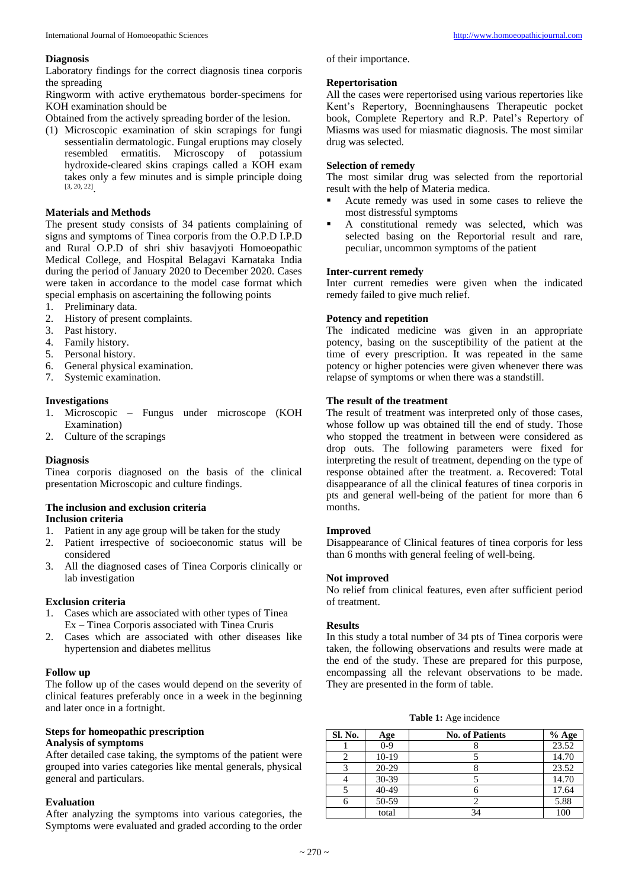#### **Diagnosis**

Laboratory findings for the correct diagnosis tinea corporis the spreading

Ringworm with active erythematous border-specimens for KOH examination should be

Obtained from the actively spreading border of the lesion.

(1) Microscopic examination of skin scrapings for fungi sessentialin dermatologic. Fungal eruptions may closely resembled ermatitis. Microscopy of potassium hydroxide-cleared skins crapings called a KOH exam takes only a few minutes and is simple principle doing [3, 20, 22] .

#### **Materials and Methods**

The present study consists of 34 patients complaining of signs and symptoms of Tinea corporis from the O.P.D I.P.D and Rural O.P.D of shri shiv basavjyoti Homoeopathic Medical College, and Hospital Belagavi Karnataka India during the period of January 2020 to December 2020. Cases were taken in accordance to the model case format which special emphasis on ascertaining the following points

- 1. Preliminary data.
- 2. History of present complaints.
- 3. Past history.
- 4. Family history.
- 5. Personal history.
- 6. General physical examination.
- 7. Systemic examination.

## **Investigations**

- 1. Microscopic Fungus under microscope (KOH Examination)
- 2. Culture of the scrapings

#### **Diagnosis**

Tinea corporis diagnosed on the basis of the clinical presentation Microscopic and culture findings.

## **The inclusion and exclusion criteria**

## **Inclusion criteria**

- 1. Patient in any age group will be taken for the study
- 2. Patient irrespective of socioeconomic status will be considered
- 3. All the diagnosed cases of Tinea Corporis clinically or lab investigation

## **Exclusion criteria**

- 1. Cases which are associated with other types of Tinea Ex – Tinea Corporis associated with Tinea Cruris
- 2. Cases which are associated with other diseases like hypertension and diabetes mellitus

#### **Follow up**

The follow up of the cases would depend on the severity of clinical features preferably once in a week in the beginning and later once in a fortnight.

#### **Steps for homeopathic prescription Analysis of symptoms**

After detailed case taking, the symptoms of the patient were grouped into varies categories like mental generals, physical general and particulars.

#### **Evaluation**

After analyzing the symptoms into various categories, the Symptoms were evaluated and graded according to the order

of their importance.

#### **Repertorisation**

All the cases were repertorised using various repertories like Kent's Repertory, Boenninghausens Therapeutic pocket book, Complete Repertory and R.P. Patel's Repertory of Miasms was used for miasmatic diagnosis. The most similar drug was selected.

## **Selection of remedy**

The most similar drug was selected from the reportorial result with the help of Materia medica.

- Acute remedy was used in some cases to relieve the most distressful symptoms
- A constitutional remedy was selected, which was selected basing on the Reportorial result and rare, peculiar, uncommon symptoms of the patient

#### **Inter-current remedy**

Inter current remedies were given when the indicated remedy failed to give much relief.

## **Potency and repetition**

The indicated medicine was given in an appropriate potency, basing on the susceptibility of the patient at the time of every prescription. It was repeated in the same potency or higher potencies were given whenever there was relapse of symptoms or when there was a standstill.

## **The result of the treatment**

The result of treatment was interpreted only of those cases, whose follow up was obtained till the end of study. Those who stopped the treatment in between were considered as drop outs. The following parameters were fixed for interpreting the result of treatment, depending on the type of response obtained after the treatment. a. Recovered: Total disappearance of all the clinical features of tinea corporis in pts and general well-being of the patient for more than 6 months.

#### **Improved**

Disappearance of Clinical features of tinea corporis for less than 6 months with general feeling of well-being.

#### **Not improved**

No relief from clinical features, even after sufficient period of treatment.

#### **Results**

In this study a total number of 34 pts of Tinea corporis were taken, the following observations and results were made at the end of the study. These are prepared for this purpose, encompassing all the relevant observations to be made. They are presented in the form of table.

**Table 1:** Age incidence

| Sl. No. | Age     | <b>No. of Patients</b> | $%$ Age |
|---------|---------|------------------------|---------|
|         | $0-9$   |                        | 23.52   |
|         | $10-19$ |                        | 14.70   |
|         | 20-29   |                        | 23.52   |
|         | 30-39   |                        | 14.70   |
|         | 40-49   |                        | 17.64   |
| 6       | 50-59   |                        | 5.88    |
|         | total   |                        | 100     |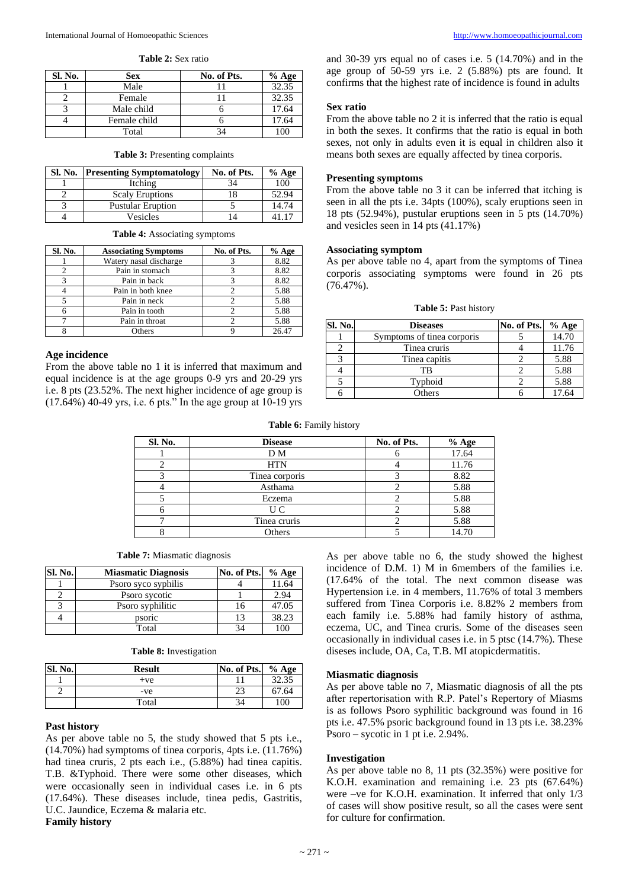**Table 2:** Sex ratio

| Sl. No. | <b>Sex</b>   | No. of Pts. | $%$ Age |
|---------|--------------|-------------|---------|
|         | Male         |             | 32.35   |
|         | Female       |             | 32.35   |
|         | Male child   |             | 17.64   |
|         | Female child |             | 17.64   |
|         | Total        |             |         |

## **Table 3:** Presenting complaints

| <b>Sl. No.</b> | <b>Presenting Symptomatology</b> | No. of Pts. | $%$ Age |
|----------------|----------------------------------|-------------|---------|
|                | Itching                          | 34          | 100     |
|                | <b>Scaly Eruptions</b>           |             | 52.94   |
|                | <b>Pustular Eruption</b>         |             | 14.74   |
|                | Vesicles                         |             |         |

|  | Table 4: Associating symptoms |  |
|--|-------------------------------|--|
|--|-------------------------------|--|

| Sl. No. | <b>Associating Symptoms</b> | No. of Pts. | $%$ Age |
|---------|-----------------------------|-------------|---------|
|         | Watery nasal discharge      |             | 8.82    |
|         | Pain in stomach             |             | 8.82    |
|         | Pain in back                |             | 8.82    |
|         | Pain in both knee           |             | 5.88    |
|         | Pain in neck                |             | 5.88    |
|         | Pain in tooth               |             | 5.88    |
|         | Pain in throat              |             | 5.88    |
|         | Others                      |             | 26.47   |

#### **Age incidence**

From the above table no 1 it is inferred that maximum and equal incidence is at the age groups 0-9 yrs and 20-29 yrs i.e. 8 pts (23.52%. The next higher incidence of age group is  $(17.64%)$  40-49 yrs, i.e. 6 pts." In the age group at 10-19 yrs

and 30-39 yrs equal no of cases i.e. 5 (14.70%) and in the age group of 50-59 yrs i.e. 2 (5.88%) pts are found. It confirms that the highest rate of incidence is found in adults

#### **Sex ratio**

From the above table no 2 it is inferred that the ratio is equal in both the sexes. It confirms that the ratio is equal in both sexes, not only in adults even it is equal in children also it means both sexes are equally affected by tinea corporis.

#### **Presenting symptoms**

From the above table no 3 it can be inferred that itching is seen in all the pts i.e. 34pts (100%), scaly eruptions seen in 18 pts (52.94%), pustular eruptions seen in 5 pts (14.70%) and vesicles seen in 14 pts (41.17%)

## **Associating symptom**

As per above table no 4, apart from the symptoms of Tinea corporis associating symptoms were found in 26 pts (76.47%).

**Table 5:** Past history

| <b>Sl. No.</b> | <b>Diseases</b>            | No. of Pts. | $%$ Age |
|----------------|----------------------------|-------------|---------|
|                | Symptoms of tinea corporis |             | 14.70   |
|                | Tinea cruris               |             | 11.76   |
|                | Tinea capitis              |             | 5.88    |
|                | ТB                         |             | 5.88    |
|                | Typhoid                    |             | 5.88    |
|                | Others                     |             | 17.64   |

#### **Table 6:** Family history

| Sl. No. | <b>Disease</b> | No. of Pts. | $%$ Age |
|---------|----------------|-------------|---------|
|         | D M            |             | 17.64   |
|         | <b>HTN</b>     |             | 11.76   |
|         | Tinea corporis |             | 8.82    |
|         | Asthama        |             | 5.88    |
|         | Eczema         |             | 5.88    |
|         | U C            |             | 5.88    |
|         | Tinea cruris   |             | 5.88    |
|         | Others         |             | 14.70   |

|  |  |  | <b>Table 7:</b> Miasmatic diagnosis |  |  |
|--|--|--|-------------------------------------|--|--|
|--|--|--|-------------------------------------|--|--|

| Sl. No. | <b>Miasmatic Diagnosis</b> | No. of Pts. | $%$ Age |
|---------|----------------------------|-------------|---------|
|         | Psoro syco syphilis        |             | 11.64   |
|         | Psoro sycotic              |             | 2.94    |
|         | Psoro syphilitic           | 16          | 47.05   |
|         | psoric                     | 13          | 38.23   |
|         | Total                      | 34          | 100     |

|  |  | Table 8: Investigation |
|--|--|------------------------|
|--|--|------------------------|

| Sl. No. | <b>Result</b> | No. of Pts. | $%$ Age |
|---------|---------------|-------------|---------|
|         | $+ve$         |             | 32.35   |
| ⌒       | -ve           | 23          | 67.64   |
|         | Total         | 34          | 100     |

#### **Past history**

As per above table no 5, the study showed that 5 pts i.e., (14.70%) had symptoms of tinea corporis, 4pts i.e. (11.76%) had tinea cruris, 2 pts each i.e., (5.88%) had tinea capitis. T.B. &Typhoid. There were some other diseases, which were occasionally seen in individual cases i.e. in 6 pts (17.64%). These diseases include, tinea pedis, Gastritis, U.C. Jaundice, Eczema & malaria etc. **Family history** 

As per above table no 6, the study showed the highest incidence of D.M. 1) M in 6members of the families i.e. (17.64% of the total. The next common disease was Hypertension i.e. in 4 members, 11.76% of total 3 members suffered from Tinea Corporis i.e. 8.82% 2 members from each family i.e. 5.88% had family history of asthma, eczema, UC, and Tinea cruris. Some of the diseases seen occasionally in individual cases i.e. in 5 ptsc (14.7%). These diseses include, OA, Ca, T.B. MI atopicdermatitis.

#### **Miasmatic diagnosis**

As per above table no 7, Miasmatic diagnosis of all the pts after repertorisation with R.P. Patel's Repertory of Miasms is as follows Psoro syphilitic background was found in 16 pts i.e. 47.5% psoric background found in 13 pts i.e. 38.23% Psoro – sycotic in 1 pt i.e. 2.94%.

#### **Investigation**

As per above table no 8, 11 pts (32.35%) were positive for K.O.H. examination and remaining i.e. 23 pts (67.64%) were –ve for K.O.H. examination. It inferred that only 1/3 of cases will show positive result, so all the cases were sent for culture for confirmation.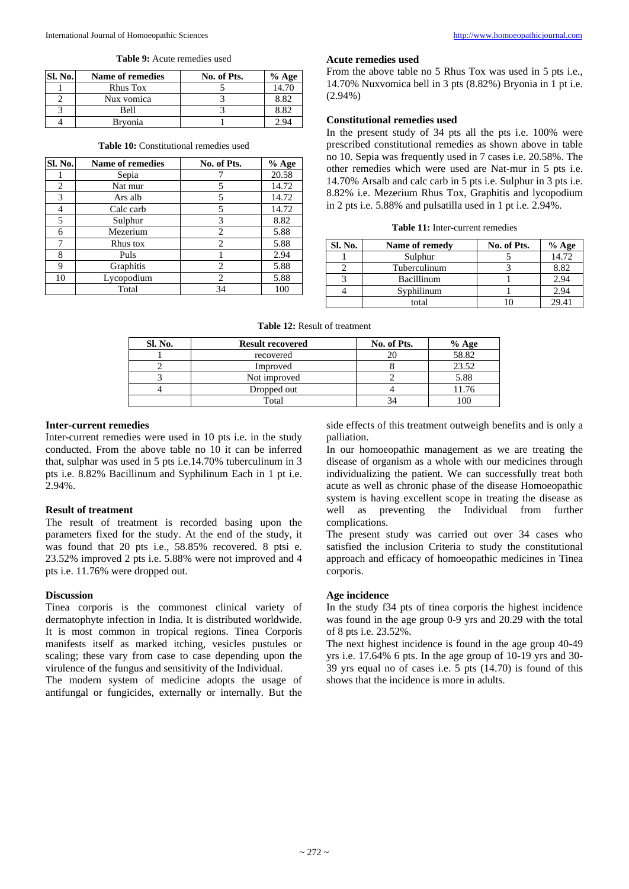**Table 9:** Acute remedies used

| <b>Sl. No.</b> | Name of remedies | No. of Pts. | $%$ Age |
|----------------|------------------|-------------|---------|
|                | Rhus Tox         |             | 14.70   |
|                | Nux vomica       |             | 8.82    |
|                | <b>Bell</b>      |             | 8.82    |
|                | Bryonia          |             | 2.94    |

| Sl. No. | <b>Name of remedies</b> | No. of Pts.                   | $%$ Age |
|---------|-------------------------|-------------------------------|---------|
|         | Sepia                   |                               | 20.58   |
| 2       | Nat mur                 |                               | 14.72   |
| 3       | Ars alb                 | 5                             | 14.72   |
| 4       | Calc carb               | 5                             | 14.72   |
| 5       | Sulphur                 | 3                             | 8.82    |
| 6       | Mezerium                | 2                             | 5.88    |
| 7       | Rhus tox                | 2                             | 5.88    |
| 8       | Puls                    |                               | 2.94    |
| 9       | Graphitis               | $\mathfrak{D}_{\mathfrak{p}}$ | 5.88    |
| 10      | Lycopodium              | $\mathfrak{D}$                | 5.88    |
|         | Total                   | 34                            | 100     |

#### **Table 10:** Constitutional remedies used

#### **Acute remedies used**

From the above table no 5 Rhus Tox was used in 5 pts i.e., 14.70% Nuxvomica bell in 3 pts (8.82%) Bryonia in 1 pt i.e. (2.94%)

## **Constitutional remedies used**

In the present study of 34 pts all the pts i.e. 100% were prescribed constitutional remedies as shown above in table no 10. Sepia was frequently used in 7 cases i.e. 20.58%. The other remedies which were used are Nat-mur in 5 pts i.e. 14.70% Arsalb and calc carb in 5 pts i.e. Sulphur in 3 pts i.e. 8.82% i.e. Mezerium Rhus Tox, Graphitis and lycopodium in 2 pts i.e. 5.88% and pulsatilla used in 1 pt i.e. 2.94%.

|  |  | <b>Table 11:</b> Inter-current remedies |  |
|--|--|-----------------------------------------|--|
|--|--|-----------------------------------------|--|

| Sl. No. | Name of remedy    | No. of Pts. | $%$ Age |
|---------|-------------------|-------------|---------|
|         | Sulphur           |             | 14.72   |
|         | Tuberculinum      |             | 8.82    |
|         | <b>Bacillinum</b> |             | 2.94    |
|         | Syphilinum        |             | 2.94    |
|         | total             |             | 29.41   |

**Table 12:** Result of treatment

| <b>Sl. No.</b> | <b>Result recovered</b> | No. of Pts. | $%$ Age |
|----------------|-------------------------|-------------|---------|
|                | recovered               |             | 58.82   |
|                | Improved                |             | 23.52   |
|                | Not improved            |             | 5.88    |
|                | Dropped out             |             | 11.76   |
|                | Total                   |             |         |

#### **Inter-current remedies**

Inter-current remedies were used in 10 pts i.e. in the study conducted. From the above table no 10 it can be inferred that, sulphar was used in 5 pts i.e.14.70% tuberculinum in 3 pts i.e. 8.82% Bacillinum and Syphilinum Each in 1 pt i.e. 2.94%.

#### **Result of treatment**

The result of treatment is recorded basing upon the parameters fixed for the study. At the end of the study, it was found that 20 pts i.e., 58.85% recovered. 8 ptsi e. 23.52% improved 2 pts i.e. 5.88% were not improved and 4 pts i.e. 11.76% were dropped out.

#### **Discussion**

Tinea corporis is the commonest clinical variety of dermatophyte infection in India. It is distributed worldwide. It is most common in tropical regions. Tinea Corporis manifests itself as marked itching, vesicles pustules or scaling; these vary from case to case depending upon the virulence of the fungus and sensitivity of the Individual.

The modern system of medicine adopts the usage of antifungal or fungicides, externally or internally. But the side effects of this treatment outweigh benefits and is only a palliation.

In our homoeopathic management as we are treating the disease of organism as a whole with our medicines through individualizing the patient. We can successfully treat both acute as well as chronic phase of the disease Homoeopathic system is having excellent scope in treating the disease as well as preventing the Individual from further complications.

The present study was carried out over 34 cases who satisfied the inclusion Criteria to study the constitutional approach and efficacy of homoeopathic medicines in Tinea corporis.

#### **Age incidence**

In the study f34 pts of tinea corporis the highest incidence was found in the age group 0-9 yrs and 20.29 with the total of 8 pts i.e. 23.52%.

The next highest incidence is found in the age group 40-49 yrs i.e. 17.64% 6 pts. In the age group of 10-19 yrs and 30- 39 yrs equal no of cases i.e. 5 pts (14.70) is found of this shows that the incidence is more in adults.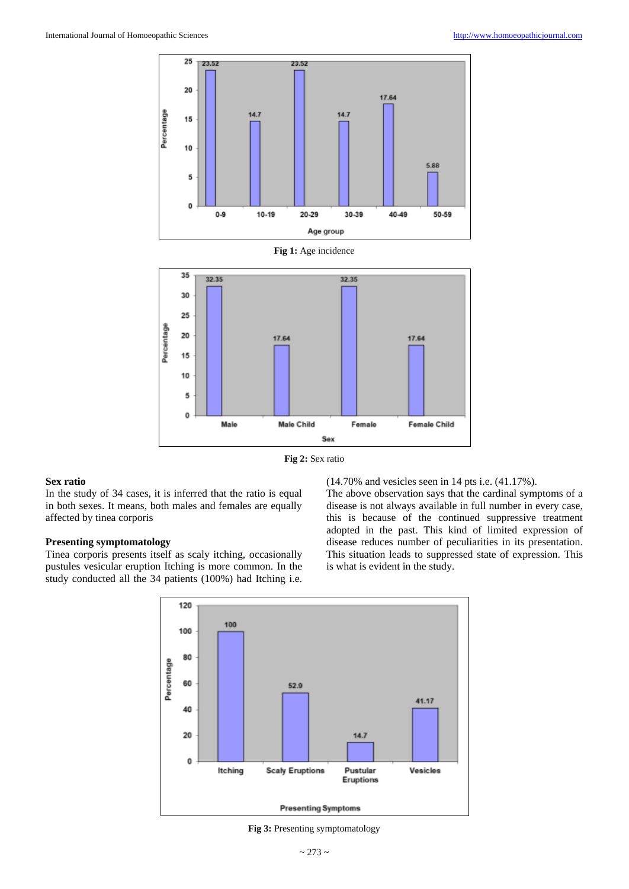

**Fig 2:** Sex ratio

## **Sex ratio**

In the study of 34 cases, it is inferred that the ratio is equal in both sexes. It means, both males and females are equally affected by tinea corporis

#### **Presenting symptomatology**

Tinea corporis presents itself as scaly itching, occasionally pustules vesicular eruption Itching is more common. In the study conducted all the 34 patients (100%) had Itching i.e.

(14.70% and vesicles seen in 14 pts i.e. (41.17%).

The above observation says that the cardinal symptoms of a disease is not always available in full number in every case, this is because of the continued suppressive treatment adopted in the past. This kind of limited expression of disease reduces number of peculiarities in its presentation. This situation leads to suppressed state of expression. This is what is evident in the study.



**Fig 3:** Presenting symptomatology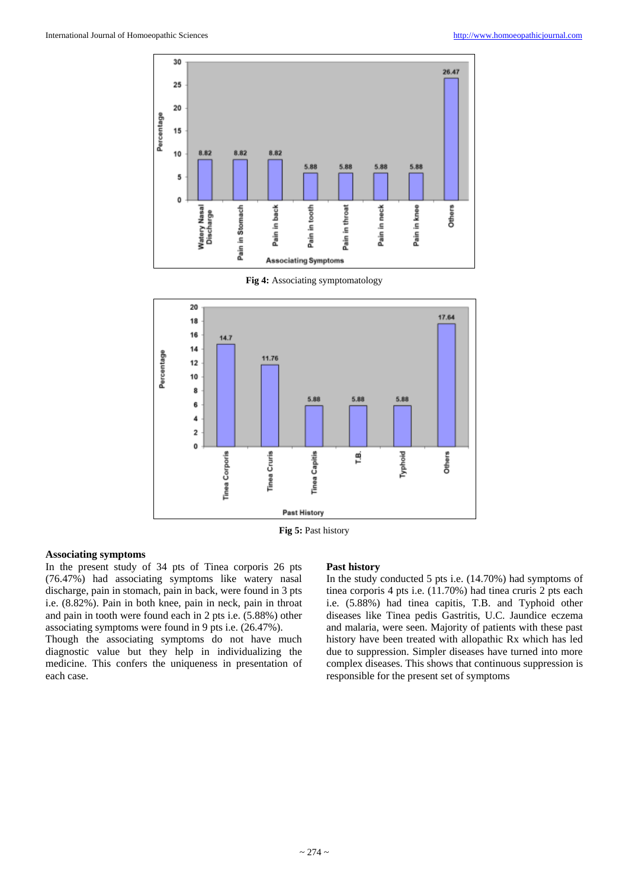

**Fig 4:** Associating symptomatology



**Fig 5:** Past history

#### **Associating symptoms**

In the present study of 34 pts of Tinea corporis 26 pts (76.47%) had associating symptoms like watery nasal discharge, pain in stomach, pain in back, were found in 3 pts i.e. (8.82%). Pain in both knee, pain in neck, pain in throat and pain in tooth were found each in 2 pts i.e. (5.88%) other associating symptoms were found in 9 pts i.e. (26.47%).

Though the associating symptoms do not have much diagnostic value but they help in individualizing the medicine. This confers the uniqueness in presentation of each case.

#### **Past history**

In the study conducted 5 pts i.e. (14.70%) had symptoms of tinea corporis 4 pts i.e. (11.70%) had tinea cruris 2 pts each i.e. (5.88%) had tinea capitis, T.B. and Typhoid other diseases like Tinea pedis Gastritis, U.C. Jaundice eczema and malaria, were seen. Majority of patients with these past history have been treated with allopathic Rx which has led due to suppression. Simpler diseases have turned into more complex diseases. This shows that continuous suppression is responsible for the present set of symptoms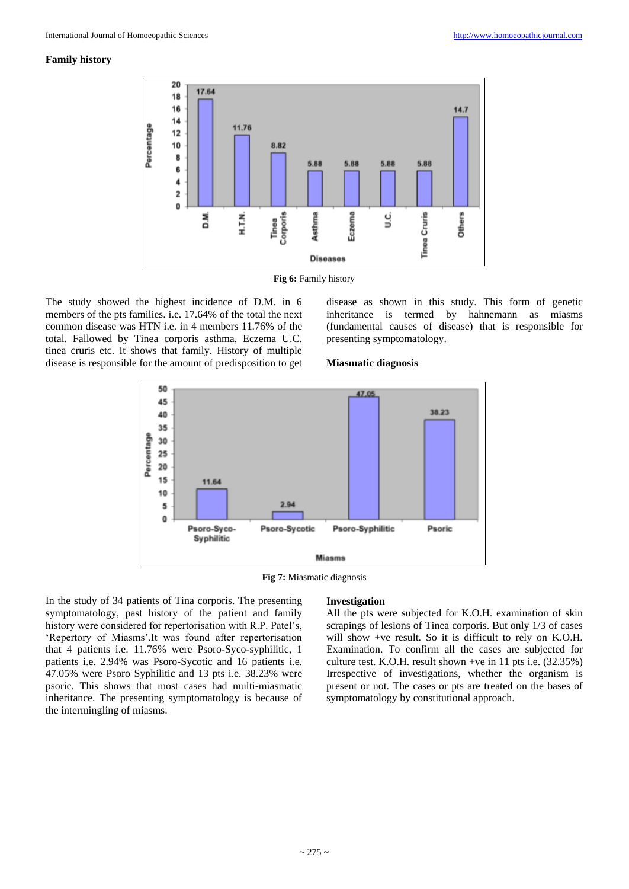#### **Family history**



**Fig 6:** Family history

The study showed the highest incidence of D.M. in 6 members of the pts families. i.e. 17.64% of the total the next common disease was HTN i.e. in 4 members 11.76% of the total. Fallowed by Tinea corporis asthma, Eczema U.C. tinea cruris etc. It shows that family. History of multiple disease is responsible for the amount of predisposition to get disease as shown in this study. This form of genetic inheritance is termed by hahnemann as miasms (fundamental causes of disease) that is responsible for presenting symptomatology.

#### **Miasmatic diagnosis**



**Fig 7:** Miasmatic diagnosis

In the study of 34 patients of Tina corporis. The presenting symptomatology, past history of the patient and family history were considered for repertorisation with R.P. Patel's, 'Repertory of Miasms'.It was found after repertorisation that 4 patients i.e. 11.76% were Psoro-Syco-syphilitic, 1 patients i.e. 2.94% was Psoro-Sycotic and 16 patients i.e. 47.05% were Psoro Syphilitic and 13 pts i.e. 38.23% were psoric. This shows that most cases had multi-miasmatic inheritance. The presenting symptomatology is because of the intermingling of miasms.

#### **Investigation**

All the pts were subjected for K.O.H. examination of skin scrapings of lesions of Tinea corporis. But only 1/3 of cases will show +ve result. So it is difficult to rely on K.O.H. Examination. To confirm all the cases are subjected for culture test. K.O.H. result shown +ve in 11 pts i.e. (32.35%) Irrespective of investigations, whether the organism is present or not. The cases or pts are treated on the bases of symptomatology by constitutional approach.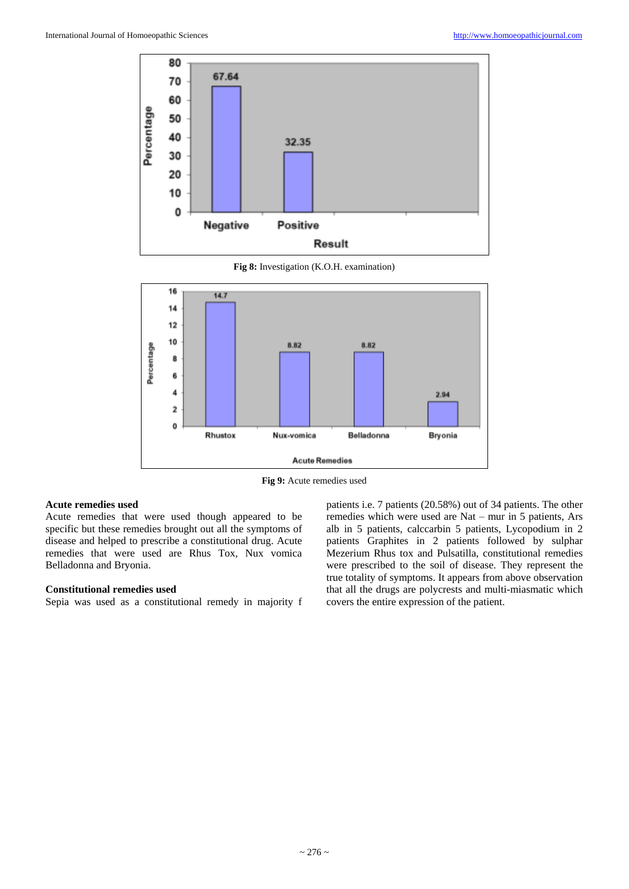

**Fig 8:** Investigation (K.O.H. examination)



**Fig 9:** Acute remedies used

## **Acute remedies used**

Acute remedies that were used though appeared to be specific but these remedies brought out all the symptoms of disease and helped to prescribe a constitutional drug. Acute remedies that were used are Rhus Tox, Nux vomica Belladonna and Bryonia.

#### **Constitutional remedies used**

Sepia was used as a constitutional remedy in majority f

patients i.e. 7 patients (20.58%) out of 34 patients. The other remedies which were used are Nat – mur in 5 patients, Ars alb in 5 patients, calccarbin 5 patients, Lycopodium in 2 patients Graphites in 2 patients followed by sulphar Mezerium Rhus tox and Pulsatilla, constitutional remedies were prescribed to the soil of disease. They represent the true totality of symptoms. It appears from above observation that all the drugs are polycrests and multi-miasmatic which covers the entire expression of the patient.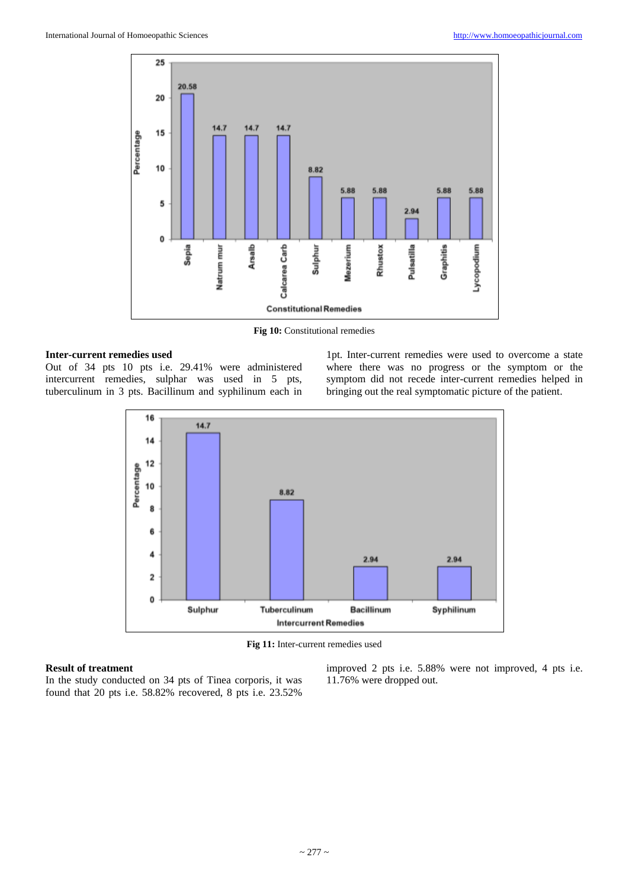

Fig 10: Constitutional remedies

#### **Inter-current remedies used**

Out of 34 pts 10 pts i.e. 29.41% were administered intercurrent remedies, sulphar was used in 5 pts, tuberculinum in 3 pts. Bacillinum and syphilinum each in

1pt. Inter-current remedies were used to overcome a state where there was no progress or the symptom or the symptom did not recede inter-current remedies helped in bringing out the real symptomatic picture of the patient.



**Fig 11:** Inter-current remedies used

#### **Result of treatment**

In the study conducted on 34 pts of Tinea corporis, it was found that 20 pts i.e. 58.82% recovered, 8 pts i.e. 23.52%

improved 2 pts i.e. 5.88% were not improved, 4 pts i.e. 11.76% were dropped out.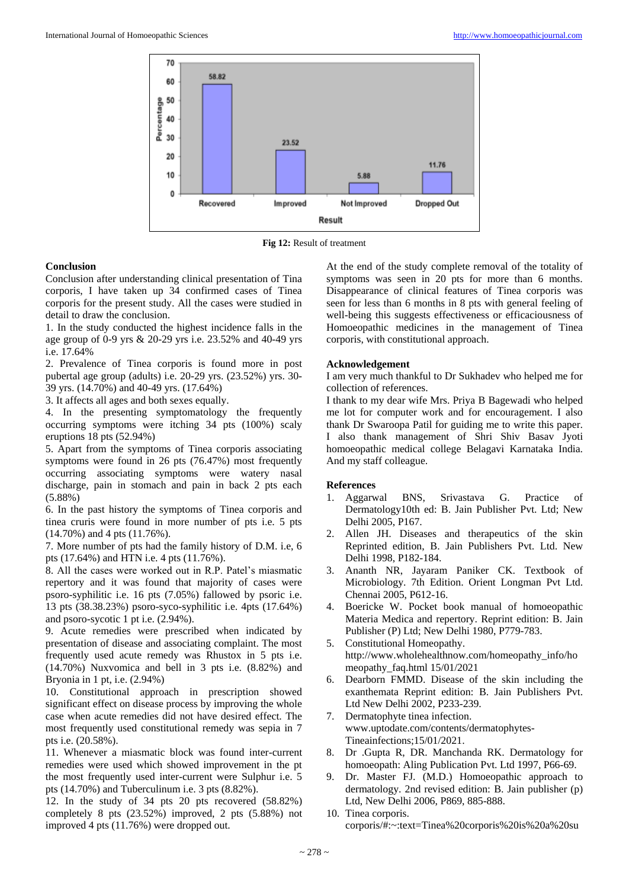

**Fig 12:** Result of treatment

#### **Conclusion**

Conclusion after understanding clinical presentation of Tina corporis, I have taken up 34 confirmed cases of Tinea corporis for the present study. All the cases were studied in detail to draw the conclusion.

1. In the study conducted the highest incidence falls in the age group of 0-9 yrs & 20-29 yrs i.e. 23.52% and 40-49 yrs i.e. 17.64%

2. Prevalence of Tinea corporis is found more in post pubertal age group (adults) i.e. 20-29 yrs. (23.52%) yrs. 30- 39 yrs. (14.70%) and 40-49 yrs. (17.64%)

3. It affects all ages and both sexes equally.

4. In the presenting symptomatology the frequently occurring symptoms were itching 34 pts (100%) scaly eruptions 18 pts (52.94%)

5. Apart from the symptoms of Tinea corporis associating symptoms were found in 26 pts (76.47%) most frequently occurring associating symptoms were watery nasal discharge, pain in stomach and pain in back 2 pts each (5.88%)

6. In the past history the symptoms of Tinea corporis and tinea cruris were found in more number of pts i.e. 5 pts (14.70%) and 4 pts (11.76%).

7. More number of pts had the family history of D.M. i.e, 6 pts (17.64%) and HTN i.e. 4 pts (11.76%).

8. All the cases were worked out in R.P. Patel's miasmatic repertory and it was found that majority of cases were psoro-syphilitic i.e. 16 pts (7.05%) fallowed by psoric i.e. 13 pts (38.38.23%) psoro-syco-syphilitic i.e. 4pts (17.64%) and psoro-sycotic 1 pt i.e. (2.94%).

9. Acute remedies were prescribed when indicated by presentation of disease and associating complaint. The most frequently used acute remedy was Rhustox in 5 pts i.e. (14.70%) Nuxvomica and bell in 3 pts i.e. (8.82%) and Bryonia in 1 pt, i.e. (2.94%)

10. Constitutional approach in prescription showed significant effect on disease process by improving the whole case when acute remedies did not have desired effect. The most frequently used constitutional remedy was sepia in 7 pts i.e. (20.58%).

11. Whenever a miasmatic block was found inter-current remedies were used which showed improvement in the pt the most frequently used inter-current were Sulphur i.e. 5 pts (14.70%) and Tuberculinum i.e. 3 pts (8.82%).

12. In the study of 34 pts 20 pts recovered (58.82%) completely 8 pts (23.52%) improved, 2 pts (5.88%) not improved 4 pts (11.76%) were dropped out.

At the end of the study complete removal of the totality of symptoms was seen in 20 pts for more than 6 months. Disappearance of clinical features of Tinea corporis was seen for less than 6 months in 8 pts with general feeling of well-being this suggests effectiveness or efficaciousness of Homoeopathic medicines in the management of Tinea corporis, with constitutional approach.

#### **Acknowledgement**

I am very much thankful to Dr Sukhadev who helped me for collection of references.

I thank to my dear wife Mrs. Priya B Bagewadi who helped me lot for computer work and for encouragement. I also thank Dr Swaroopa Patil for guiding me to write this paper. I also thank management of Shri Shiv Basav Jyoti homoeopathic medical college Belagavi Karnataka India. And my staff colleague.

#### **References**

- 1. Aggarwal BNS, Srivastava G. Practice of Dermatology10th ed: B. Jain Publisher Pvt. Ltd; New Delhi 2005, P167.
- 2. Allen JH. Diseases and therapeutics of the skin Reprinted edition, B. Jain Publishers Pvt. Ltd. New Delhi 1998, P182-184.
- 3. Ananth NR, Jayaram Paniker CK. Textbook of Microbiology. 7th Edition. Orient Longman Pvt Ltd. Chennai 2005, P612-16.
- 4. Boericke W. Pocket book manual of homoeopathic Materia Medica and repertory. Reprint edition: B. Jain Publisher (P) Ltd; New Delhi 1980, P779-783.
- 5. Constitutional Homeopathy. http://www.wholehealthnow.com/homeopathy\_info/ho meopathy\_faq.html 15/01/2021
- 6. Dearborn FMMD. Disease of the skin including the exanthemata Reprint edition: B. Jain Publishers Pvt. Ltd New Delhi 2002, P233-239.
- 7. Dermatophyte tinea infection. www.uptodate.com/contents/dermatophytes-Tineainfections;15/01/2021.
- 8. Dr .Gupta R, DR. Manchanda RK. Dermatology for homoeopath: Aling Publication Pvt. Ltd 1997, P66-69.
- 9. Dr. Master FJ. (M.D.) Homoeopathic approach to dermatology. 2nd revised edition: B. Jain publisher (p) Ltd, New Delhi 2006, P869, 885-888.
- 10. Tinea corporis. corporis/#:~:text=Tinea%20corporis%20is%20a%20su